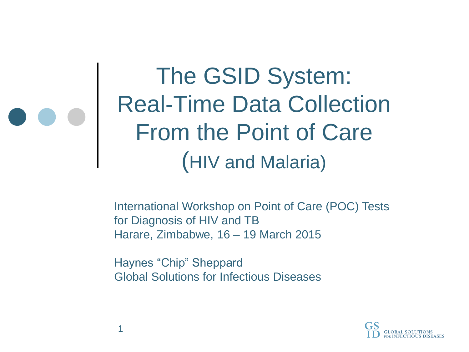The GSID System: Real-Time Data Collection From the Point of Care (HIV and Malaria)

International Workshop on Point of Care (POC) Tests for Diagnosis of HIV and TB Harare, Zimbabwe, 16 – 19 March 2015

Haynes "Chip" Sheppard Global Solutions for Infectious Diseases

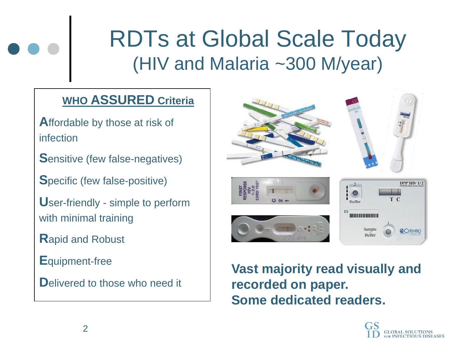### RDTs at Global Scale Today (HIV and Malaria ~300 M/year)

#### **WHO ASSURED Criteria**

- **A**ffordable by those at risk of infection
- **S**ensitive (few false-negatives)
- **S**pecific (few false-positive)
- **U**ser-friendly simple to perform with minimal training
- **R**apid and Robust
- **E**quipment-free
- **Delivered to those who need it**



**Vast majority read visually and recorded on paper. Some dedicated readers.**

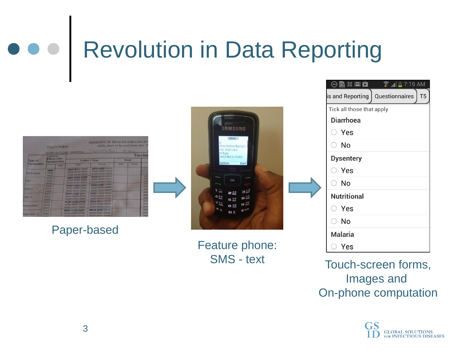## Revolution in Data Reporting

|                         |                                                 | <b>TALLY FORM</b> |                                                                 | (Tally sheet to be used from July 20<br>NAME OF CLINIC/HOSPITAL 7 COULD SELL TO ME AND THE COMMON |      | Vaccina |                            |
|-------------------------|-------------------------------------------------|-------------------|-----------------------------------------------------------------|---------------------------------------------------------------------------------------------------|------|---------|----------------------------|
| Type of                 | Adverse<br><b>Effects After</b><br>Immunization |                   |                                                                 | Under 1 Year                                                                                      |      | Total   |                            |
| Vaccination             |                                                 | Total             | <b>Male</b>                                                     | Female                                                                                            | Male | Female  |                            |
| <b>BCG</b> Initial      | newer-<br>00000<br>00000                        |                   | 00000 00000 00000<br>(80000 00000 00000)<br>00000.00000.00000   | <b>U\$000 B0000 00000</b><br>00000 00000 00000<br>80000 00000 00000<br>GOUU 00000 00000           |      |         | 000                        |
| OPV <sub>1</sub>        | 00000<br><b>OOOOO</b><br>00000                  |                   | weeken doorst govern<br>ogoba doolla nagan<br>00000 00000 00000 | 00000 00000 00000<br>00000 00000 00000                                                            |      |         | 000<br>000<br>000          |
| OPV <sub>2</sub>        | 00000<br>00000<br><b>CIODOG</b>                 |                   | COURSE GOVERNMENT<br>00000 00000 00000<br>00000 00000 00000     | 00000 00000 00000<br>00000 00000 00000<br>00000 00000 00000                                       |      |         | 000<br>000                 |
| $OPV$ <sub>3</sub>      | 00000<br>00000<br>00000                         |                   | DOUGH BOBBA GODOO<br>00000 00000 00000<br>00000 00000 00000     | 60000 00000 00000<br>00000 00000 00000<br>00000 00000 00000                                       |      |         | 000<br>000<br>000          |
| Pentavalent I           | 00000<br>00000<br><b>OODOO</b>                  |                   | 00090 199900 99900<br>oodoo oodoo boooo<br>00000 00000 00000    | 04000 00000 00000<br>00000 00000 00000<br>00000 00000 00000                                       |      |         | 000<br>000<br>ODD          |
| entavalent <sub>2</sub> | 00000<br>00000<br><b>DOVIDO</b>                 |                   | 90000 00000 99990<br>00000 00000 00000<br>00000 00000 00000     | 00000 00000 00000<br>00000 00000 00000<br>00000 00000 00000                                       |      |         | <b>OOO</b><br>0000<br>0000 |

Paper-based

| <b>SAMSUNG</b>                                                                                                    |  |
|-------------------------------------------------------------------------------------------------------------------|--|
| 1000027<br>g;<br>dina.shemer@gmail.c<br>om: Interview<br>Hi Eyal,<br>We'd like to invite                          |  |
| Options Back                                                                                                      |  |
| OK                                                                                                                |  |
| 日話<br>٦<br>$\hat{\boldsymbol{\theta}}$<br>2 <sub>net</sub>                                                        |  |
| 6 <sub>300</sub><br>$4\frac{gH}{gH}$<br>5 <sup>47</sup><br>日益<br><b>FEB</b><br>日际<br>40<br>$#$ of<br>$\mathbf{u}$ |  |
|                                                                                                                   |  |

Feature phone:

| $\Theta$ in $\mathbb{R}$ m $\Theta$<br>$\hat{R}$ $\hat{M}$ $\hat{I}$ 7:19 AM |  |  |  |  |  |  |
|------------------------------------------------------------------------------|--|--|--|--|--|--|
| Questionnaires<br>T <sub>5</sub><br>is and Reporting                         |  |  |  |  |  |  |
| Tick all those that apply                                                    |  |  |  |  |  |  |
| <b>Diarrhoea</b>                                                             |  |  |  |  |  |  |
| Yes<br>$^{(+)}$                                                              |  |  |  |  |  |  |
| ○ No                                                                         |  |  |  |  |  |  |
| <b>Dysentery</b>                                                             |  |  |  |  |  |  |
| $\circ$ Yes                                                                  |  |  |  |  |  |  |
| $\circ$ No                                                                   |  |  |  |  |  |  |
| <b>Nutritional</b>                                                           |  |  |  |  |  |  |
| $\supset$ Yes                                                                |  |  |  |  |  |  |
| ○ No                                                                         |  |  |  |  |  |  |
| <b>Malaria</b>                                                               |  |  |  |  |  |  |
| Yes                                                                          |  |  |  |  |  |  |

SMS - text Touch-screen forms, Images and On-phone computation

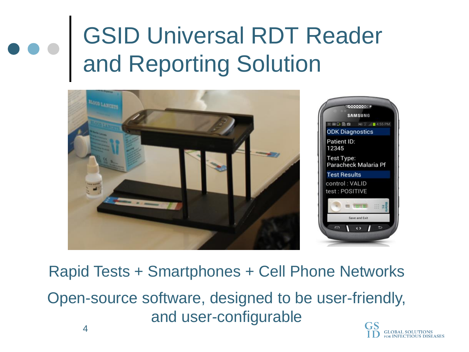### GSID Universal RDT Reader and Reporting Solution



Rapid Tests + Smartphones + Cell Phone Networks Open-source software, designed to be user-friendly, and user-configurable

> **GLOBAL SOLUTIONS FOR INFECTIOUS DISEASES**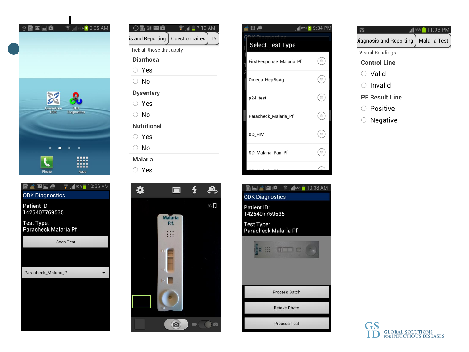



| $\Theta$ M X M $\hat{\bf{L}}$ | $^{\circ}$ all $\blacksquare$ 7:19 AM |  |  |
|-------------------------------|---------------------------------------|--|--|
| is and Reporting              | Questionnaires<br>T <sub>5</sub>      |  |  |
| Tick all those that apply     |                                       |  |  |
| <b>Diarrhoea</b>              |                                       |  |  |
| $\supset$ Yes                 |                                       |  |  |
| ⊙ No                          |                                       |  |  |
| <b>Dysentery</b>              |                                       |  |  |
| Yes                           |                                       |  |  |
| ⊙ No                          |                                       |  |  |
| <b>Nutritional</b>            |                                       |  |  |
| $\supset$ Yes                 |                                       |  |  |
| ○ No                          |                                       |  |  |
| <b>Malaria</b>                |                                       |  |  |
| Yes                           |                                       |  |  |





| M 2 10:38 AM                     |
|----------------------------------|
| <b>DK Diagnostics</b>            |
| atient ID:<br>425407769535       |
| est Type:<br>aracheck Malaria Pf |
|                                  |
| <b>Process Batch</b>             |
| <b>Retake Photo</b>              |
| <b>Process Test</b>              |

|                        | <b>11:03 PM</b>     |
|------------------------|---------------------|
| iagnosis and Reporting | <b>Malaria Test</b> |
| Visual Readings        |                     |
| <b>Control Line</b>    |                     |
| Valid                  |                     |
| $\supset$ Invalid      |                     |
| <b>PF Result Line</b>  |                     |
| Positive               |                     |
| Negative               |                     |

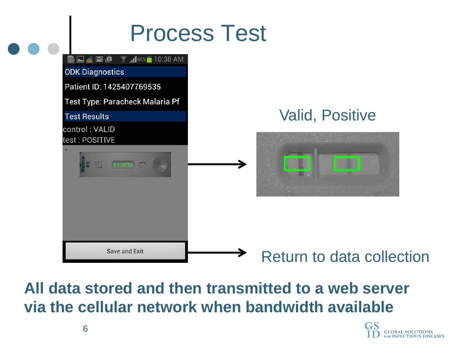### Process Test



**All data stored and then transmitted to a web server via the cellular network when bandwidth available**

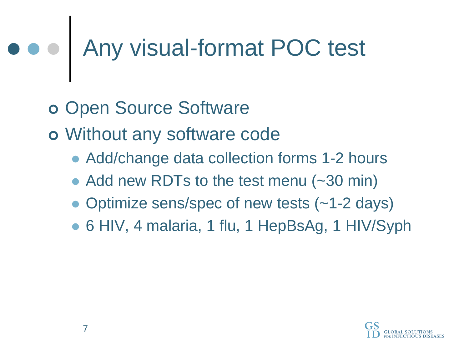## Any visual-format POC test

- o Open Source Software
- Without any software code
	- Add/change data collection forms 1-2 hours
	- Add new RDTs to the test menu (~30 min)
	- Optimize sens/spec of new tests (~1-2 days)
	- 6 HIV, 4 malaria, 1 flu, 1 HepBsAg, 1 HIV/Syph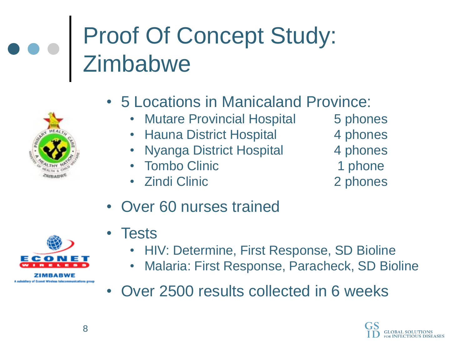### Proof Of Concept Study: **Zimbabwe**



- 5 Locations in Manicaland Province:
	- Mutare Provincial Hospital 5 phones
	- Hauna District Hospital 4 phones
	- Nyanga District Hospital 4 phones
	- Tombo Clinic 1 phone
	- Zindi Clinic 2 phones
- 
- 
- 
- 
- 

• Over 60 nurses trained



7 I MRARWF of Econet Wireless telecommunications area

- Tests
	- HIV: Determine, First Response, SD Bioline
	- Malaria: First Response, Paracheck, SD Bioline
- Over 2500 results collected in 6 weeks

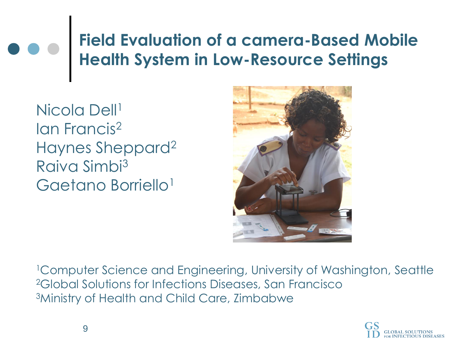#### **Field Evaluation of a camera-Based Mobile Health System in Low-Resource Settings**

Nicola Dell<sup>1</sup> Ian Francis<sup>2</sup> Haynes Sheppard<sup>2</sup> Raiva Simbi<sup>3</sup> Gaetano Borriello<sup>1</sup>



<sup>1</sup>Computer Science and Engineering, University of Washington, Seattle <sup>2</sup>Global Solutions for Infections Diseases, San Francisco <sup>3</sup>Ministry of Health and Child Care, Zimbabwe

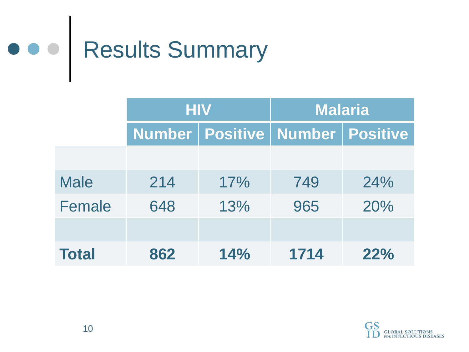

|               | <b>HIV</b> |                                       | <b>Malaria</b> |     |  |
|---------------|------------|---------------------------------------|----------------|-----|--|
|               |            | Number   Positive   Number   Positive |                |     |  |
|               |            |                                       |                |     |  |
| <b>Male</b>   | 214        | 17%                                   | 749            | 24% |  |
| <b>Female</b> | 648        | 13%                                   | 965            | 20% |  |
|               |            |                                       |                |     |  |
| <b>Total</b>  | 862        | 14%                                   | 1714           | 22% |  |

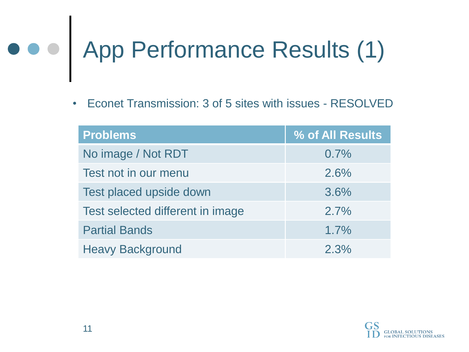# App Performance Results (1)

• Econet Transmission: 3 of 5 sites with issues - RESOLVED

| <b>Problems</b>                  | % of All Results |
|----------------------------------|------------------|
| No image / Not RDT               | 0.7%             |
| Test not in our menu             | 2.6%             |
| Test placed upside down          | 3.6%             |
| Test selected different in image | 2.7%             |
| <b>Partial Bands</b>             | 1.7%             |
| <b>Heavy Background</b>          | 2.3%             |

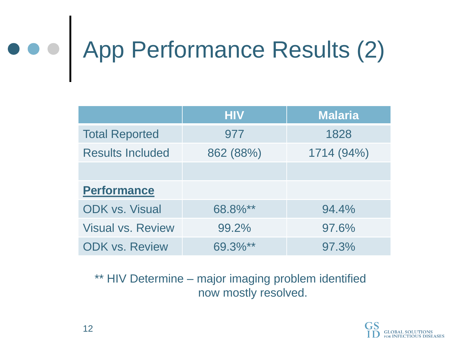# App Performance Results (2)

|                          | <b>HIV</b> | <b>Malaria</b> |
|--------------------------|------------|----------------|
| <b>Total Reported</b>    | 977        | 1828           |
| <b>Results Included</b>  | 862 (88%)  | 1714 (94%)     |
|                          |            |                |
| <b>Performance</b>       |            |                |
| <b>ODK vs. Visual</b>    | 68.8%**    | 94.4%          |
| <b>Visual vs. Review</b> | 99.2%      | 97.6%          |
| <b>ODK vs. Review</b>    | 69.3%**    | 97.3%          |

\*\* HIV Determine – major imaging problem identified now mostly resolved.

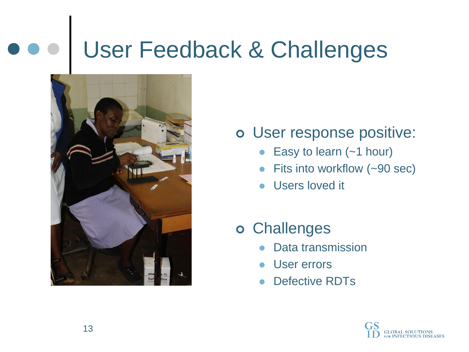### User Feedback & Challenges



- User response positive:
	- Easy to learn (~1 hour)
	- Fits into workflow (~90 sec)
	- Users loved it
- Challenges
	- Data transmission
	- **User errors**
	- Defective RDTs

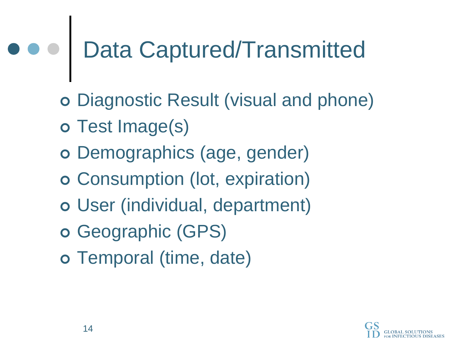## Data Captured/Transmitted

- Diagnostic Result (visual and phone)
- o Test Image(s)
- o Demographics (age, gender)
- Consumption (lot, expiration)
- User (individual, department)
- o Geographic (GPS)
- Temporal (time, date)

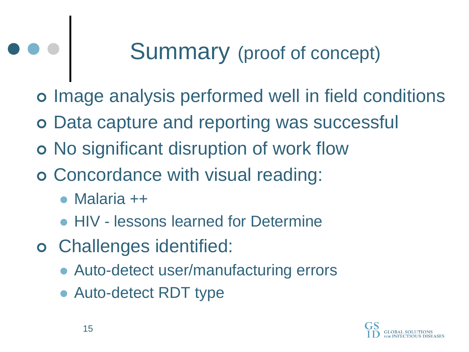### Summary (proof of concept)

o Image analysis performed well in field conditions

- o Data capture and reporting was successful
- o No significant disruption of work flow
- Concordance with visual reading:
	- Malaria ++
	- HIV lessons learned for Determine
- Challenges identified:
	- Auto-detect user/manufacturing errors
	- Auto-detect RDT type

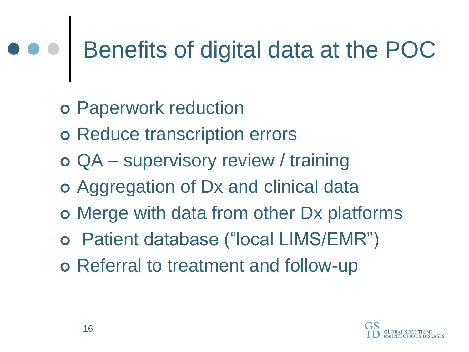### Benefits of digital data at the POC

- Paperwork reduction
- o Reduce transcription errors
- QA supervisory review / training
- Aggregation of Dx and clinical data
- Merge with data from other Dx platforms
- Patient database ("local LIMS/EMR")
- o Referral to treatment and follow-up

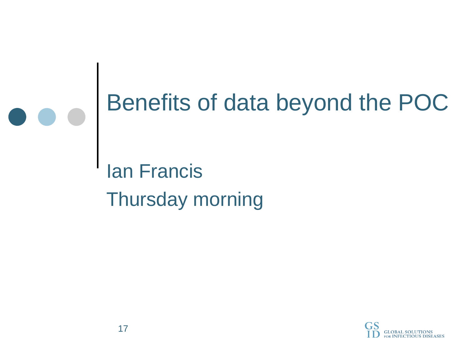